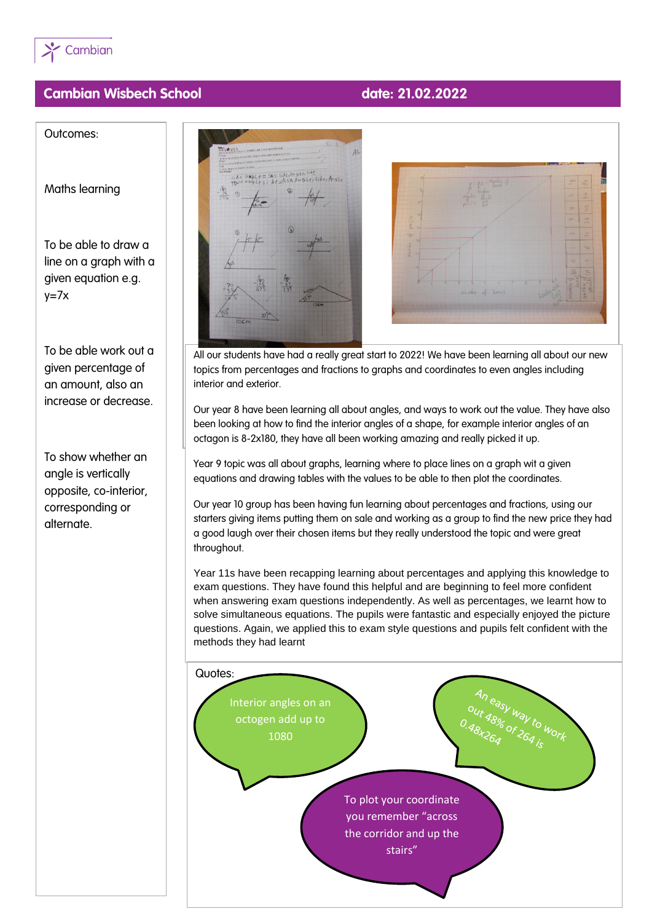

## **Cambian Wisbech School date: 21.02.2022**

Outcomes:

Maths learning

To be able to draw a line on a graph with a given equation e.g.  $y=7x$ 

To be able work out a given percentage of an amount, also an increase or decrease.

To show whether an angle is vertically opposite, co-interior, corresponding or alternate.



All our students have had a really great start to 2022! We have been learning all about our new topics from percentages and fractions to graphs and coordinates to even angles including interior and exterior.

Our year 8 have been learning all about angles, and ways to work out the value. They have also been looking at how to find the interior angles of a shape, for example interior angles of an octagon is 8-2x180, they have all been working amazing and really picked it up.

Year 9 topic was all about graphs, learning where to place lines on a graph wit a given equations and drawing tables with the values to be able to then plot the coordinates.

Our year 10 group has been having fun learning about percentages and fractions, using our starters giving items putting them on sale and working as a group to find the new price they had a good laugh over their chosen items but they really understood the topic and were great throughout.

Year 11s have been recapping learning about percentages and applying this knowledge to exam questions. They have found this helpful and are beginning to feel more confident when answering exam questions independently. As well as percentages, we learnt how to solve simultaneous equations. The pupils were fantastic and especially enjoyed the picture questions. Again, we applied this to exam style questions and pupils felt confident with the methods they had learnt